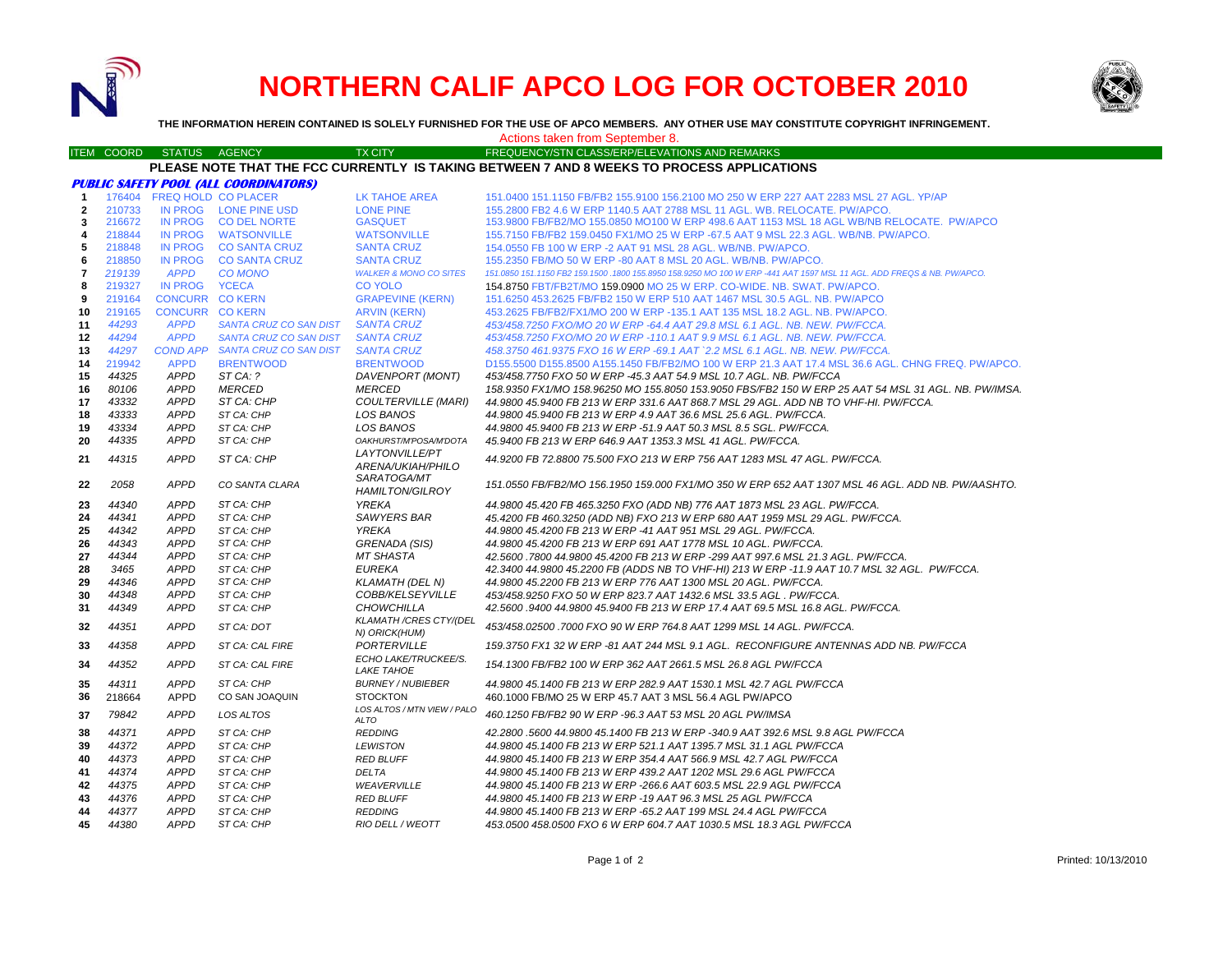

# **NORTHERN CALIF APCO LOG FOR OCTOBER 2010**



**THE INFORMATION HEREIN CONTAINED IS SOLELY FURNISHED FOR THE USE OF APCO MEMBERS. ANY OTHER USE MAY CONSTITUTE COPYRIGHT INFRINGEMENT.**

Actions taken from September 8.

ITEM COORD STATUS AGENCY TX CITY TREQUENCY/STN CLASS/ERP/ELEVATIONS AND REMARKS

### **PLEASE NOTE THAT THE FCC CURRENTLY IS TAKING BETWEEN 7 AND 8 WEEKS TO PROCESS APPLICATIONS**

|                |        |                        | <b>PUBLIC SAFETY POOL (ALL COORDINATORS)</b> |                                               |                                                                                                                        |
|----------------|--------|------------------------|----------------------------------------------|-----------------------------------------------|------------------------------------------------------------------------------------------------------------------------|
| $\mathbf{1}$   |        |                        | 176404 FREQ HOLD CO PLACER                   | LK TAHOE AREA                                 | 151.0400 151.1150 FB/FB2 155.9100 156.2100 MO 250 W ERP 227 AAT 2283 MSL 27 AGL. YP/AP                                 |
| $\overline{2}$ | 210733 |                        | IN PROG LONE PINE USD                        | <b>LONE PINE</b>                              | 155.2800 FB2 4.6 W ERP 1140.5 AAT 2788 MSL 11 AGL. WB. RELOCATE. PW/APCO.                                              |
| 3              | 216672 | <b>IN PROG</b>         | <b>CO DEL NORTE</b>                          | <b>GASQUET</b>                                | 153.9800 FB/FB2/MO 155.0850 MO100 W ERP 498.6 AAT 1153 MSL 18 AGL WB/NB RELOCATE. PW/APCO                              |
| 4              | 218844 |                        | IN PROG WATSONVILLE                          | <b>WATSONVILLE</b>                            | 155.7150 FB/FB2 159.0450 FX1/MO 25 W ERP -67.5 AAT 9 MSL 22.3 AGL. WB/NB. PW/APCO.                                     |
| 5              | 218848 |                        | IN PROG CO SANTA CRUZ                        | <b>SANTA CRUZ</b>                             | 154,0550 FB 100 W ERP -2 AAT 91 MSL 28 AGL, WB/NB, PW/APCO,                                                            |
| 6              | 218850 |                        | IN PROG CO SANTA CRUZ                        | <b>SANTA CRUZ</b>                             | 155.2350 FB/MO 50 W ERP -80 AAT 8 MSL 20 AGL. WB/NB. PW/APCO.                                                          |
| $\overline{7}$ | 219139 | <b>APPD</b>            | <b>CO MONO</b>                               | <b>WALKER &amp; MONO CO SITES</b>             | 151.0850 151.1150 FB2 159.1500 .1800 155.8950 158.9250 MO 100 W ERP -441 AAT 1597 MSL 11 AGL. ADD FREQS & NB. PW/APCO. |
| 8              | 219327 | IN PROG YCECA          |                                              | <b>CO YOLO</b>                                | 154,8750 FBT/FB2T/MO 159,0900 MO 25 W ERP, CO-WIDE, NB, SWAT, PW/APCO,                                                 |
| 9              | 219164 | <b>CONCURR CO KERN</b> |                                              | <b>GRAPEVINE (KERN)</b>                       | 151.6250 453.2625 FB/FB2 150 W ERP 510 AAT 1467 MSL 30.5 AGL. NB. PW/APCO                                              |
| 10             | 219165 | <b>CONCURR CO KERN</b> |                                              | <b>ARVIN (KERN)</b>                           | 453.2625 FB/FB2/FX1/MO 200 W ERP -135.1 AAT 135 MSL 18.2 AGL, NB, PW/APCO,                                             |
| 11             | 44293  | <b>APPD</b>            | SANTA CRUZ CO SAN DIST                       | <b>SANTA CRUZ</b>                             | 453/458.7250 FXO/MO 20 W ERP -64.4 AAT 29.8 MSL 6.1 AGL. NB. NEW. PW/FCCA.                                             |
| 12             | 44294  | <b>APPD</b>            | SANTA CRUZ CO SAN DIST                       | <b>SANTA CRUZ</b>                             | 453/458.7250 FXO/MO 20 W ERP -110.1 AAT 9.9 MSL 6.1 AGL, NB, NEW, PW/FCCA.                                             |
| 13             | 44297  | <b>COND APP</b>        | SANTA CRUZ CO SAN DIST                       | <b>SANTA CRUZ</b>                             | 458.3750 461.9375 FXO 16 W ERP -69.1 AAT `2.2 MSL 6.1 AGL. NB. NEW. PW/FCCA.                                           |
| 14             | 219942 | <b>APPD</b>            | <b>BRENTWOOD</b>                             | <b>BRENTWOOD</b>                              | D155.5500 D155.8500 A155.1450 FB/FB2/MO 100 W ERP 21.3 AAT 17.4 MSL 36.6 AGL. CHNG FREQ. PW/APCO.                      |
| 15             | 44325  | <b>APPD</b>            | ST CA: ?                                     | DAVENPORT (MONT)                              | 453/458.7750 FXO 50 W ERP -45.3 AAT 54.9 MSL 10.7 AGL. NB. PW/FCCA                                                     |
| 16             | 80106  | <b>APPD</b>            | <b>MERCED</b>                                | <b>MERCED</b>                                 | 158.9350 FX1/MO 158.96250 MO 155.8050 153.9050 FBS/FB2 150 W ERP 25 AAT 54 MSL 31 AGL. NB. PW/IMSA.                    |
| 17             | 43332  | <b>APPD</b>            | ST CA: CHP                                   | <b>COULTERVILLE (MARI)</b>                    | 44.9800 45.9400 FB 213 W ERP 331.6 AAT 868.7 MSL 29 AGL. ADD NB TO VHF-HI. PW/FCCA.                                    |
| 18             | 43333  | APPD                   | ST CA: CHP                                   | LOS BANOS                                     | 44.9800 45.9400 FB 213 W ERP 4.9 AAT 36.6 MSL 25.6 AGL. PW/FCCA.                                                       |
| 19             | 43334  | <b>APPD</b>            | ST CA: CHP                                   | LOS BANOS                                     | 44.9800 45.9400 FB 213 W ERP -51.9 AAT 50.3 MSL 8.5 SGL. PW/FCCA.                                                      |
| 20             | 44335  | <b>APPD</b>            | ST CA: CHP                                   | OAKHURST/M'POSA/M'DOTA                        | 45.9400 FB 213 W ERP 646.9 AAT 1353.3 MSL 41 AGL. PW/FCCA.                                                             |
|                | 44315  | <b>APPD</b>            | ST CA: CHP                                   | <b>LAYTONVILLE/PT</b>                         |                                                                                                                        |
| 21             |        |                        |                                              | ARENA/UKIAH/PHILO                             | 44.9200 FB 72.8800 75.500 FXO 213 W ERP 756 AAT 1283 MSL 47 AGL. PW/FCCA.                                              |
| 22             | 2058   | <b>APPD</b>            | CO SANTA CLARA                               | SARATOGA/MT                                   | 151.0550 FB/FB2/MO 156.1950 159.000 FX1/MO 350 W ERP 652 AAT 1307 MSL 46 AGL. ADD NB. PW/AASHTO.                       |
|                |        |                        |                                              | <b>HAMILTON/GILROY</b>                        |                                                                                                                        |
| 23             | 44340  | <b>APPD</b>            | ST CA: CHP                                   | <b>YREKA</b>                                  | 44,9800 45,420 FB 465,3250 FXO (ADD NB) 776 AAT 1873 MSL 23 AGL, PW/FCCA,                                              |
| 24             | 44341  | <b>APPD</b>            | ST CA: CHP                                   | <b>SAWYERS BAR</b>                            | 45.4200 FB 460.3250 (ADD NB) FXO 213 W ERP 680 AAT 1959 MSL 29 AGL. PW/FCCA.                                           |
| 25             | 44342  | <b>APPD</b>            | ST CA: CHP                                   | <b>YREKA</b>                                  | 44.9800 45.4200 FB 213 W ERP -41 AAT 951 MSL 29 AGL, PW/FCCA.                                                          |
| 26             | 44343  | <b>APPD</b>            | ST CA: CHP                                   | GRENADA (SIS)                                 | 44.9800 45.4200 FB 213 W ERP 691 AAT 1778 MSL 10 AGL. PW/FCCA.                                                         |
| 27             | 44344  | <b>APPD</b>            | ST CA: CHP                                   | MT SHASTA                                     | 42.5600.7800 44.9800 45.4200 FB 213 W ERP -299 AAT 997.6 MSL 21.3 AGL. PW/FCCA.                                        |
| 28             | 3465   | <b>APPD</b>            | ST CA: CHP                                   | <b>EUREKA</b>                                 | 42.3400 44.9800 45.2200 FB (ADDS NB TO VHF-HI) 213 W ERP -11.9 AAT 10.7 MSL 32 AGL. PW/FCCA.                           |
| 29             | 44346  | <b>APPD</b>            | ST CA: CHP                                   | <b>KLAMATH (DEL N)</b>                        | 44.9800 45.2200 FB 213 W ERP 776 AAT 1300 MSL 20 AGL. PW/FCCA.                                                         |
| 30             | 44348  | <b>APPD</b>            | ST CA: CHP                                   | COBB/KELSEYVILLE                              | 453/458.9250 FXO 50 W ERP 823.7 AAT 1432.6 MSL 33.5 AGL . PW/FCCA.                                                     |
| 31             | 44349  | <b>APPD</b>            | ST CA: CHP                                   | <b>CHOWCHILLA</b>                             | 42.5600 .9400 44.9800 45.9400 FB 213 W ERP 17.4 AAT 69.5 MSL 16.8 AGL. PW/FCCA.                                        |
| 32             | 44351  | <b>APPD</b>            | ST CA: DOT                                   | <b>KLAMATH/CRES CTY/(DEL</b><br>N) ORICK(HUM) | 453/458.02500 .7000 FXO 90 W ERP 764.8 AAT 1299 MSL 14 AGL. PW/FCCA.                                                   |
| 33             | 44358  | <b>APPD</b>            | ST CA: CAL FIRE                              | PORTERVILLE                                   | 159.3750 FX1 32 W ERP -81 AAT 244 MSL 9.1 AGL. RECONFIGURE ANTENNAS ADD NB. PW/FCCA                                    |
| 34             | 44352  | <b>APPD</b>            | ST CA: CAL FIRE                              | ECHO LAKE/TRUCKEE/S.<br><b>LAKE TAHOE</b>     | 154.1300 FB/FB2 100 W ERP 362 AAT 2661.5 MSL 26.8 AGL PW/FCCA                                                          |
| 35             | 44311  | <b>APPD</b>            | ST CA: CHP                                   | <b>BURNEY / NUBIEBER</b>                      | 44.9800 45.1400 FB 213 W ERP 282.9 AAT 1530.1 MSL 42.7 AGL PW/FCCA                                                     |
| 36             | 218664 | <b>APPD</b>            | CO SAN JOAQUIN                               | <b>STOCKTON</b>                               | 460.1000 FB/MO 25 W ERP 45.7 AAT 3 MSL 56.4 AGL PW/APCO                                                                |
|                | 79842  | <b>APPD</b>            | <b>LOS ALTOS</b>                             | LOS ALTOS / MTN VIEW / PALO                   | 460.1250 FB/FB2 90 W ERP -96.3 AAT 53 MSL 20 AGL PW/IMSA                                                               |
| 37             |        |                        |                                              | ALTO                                          |                                                                                                                        |
| 38             | 44371  | <b>APPD</b>            | ST CA: CHP                                   | <b>REDDING</b>                                | 42.2800 .5600 44.9800 45.1400 FB 213 W ERP -340.9 AAT 392.6 MSL 9.8 AGL PW/FCCA                                        |
| 39             | 44372  | <b>APPD</b>            | ST CA: CHP                                   | <b>LEWISTON</b>                               | 44.9800 45.1400 FB 213 W ERP 521.1 AAT 1395.7 MSL 31.1 AGL PW/FCCA                                                     |
| 40             | 44373  | <b>APPD</b>            | ST CA: CHP                                   | <b>RED BLUFF</b>                              | 44.9800 45.1400 FB 213 W ERP 354.4 AAT 566.9 MSL 42.7 AGL PW/FCCA                                                      |
| 41             | 44374  | <b>APPD</b>            | ST CA: CHP                                   | <b>DELTA</b>                                  | 44.9800 45.1400 FB 213 W ERP 439.2 AAT 1202 MSL 29.6 AGL PW/FCCA                                                       |
| 42             | 44375  | APPD                   | ST CA: CHP                                   | WEAVERVILLE                                   | 44.9800 45.1400 FB 213 W ERP -266.6 AAT 603.5 MSL 22.9 AGL PW/FCCA                                                     |
| 43             | 44376  | <b>APPD</b>            | ST CA: CHP                                   | <b>RED BLUFF</b>                              | 44.9800 45.1400 FB 213 W ERP -19 AAT 96.3 MSL 25 AGL PW/FCCA                                                           |
| 44             | 44377  | <b>APPD</b>            | ST CA: CHP                                   | <b>REDDING</b>                                | 44.9800 45.1400 FB 213 W ERP -65.2 AAT 199 MSL 24.4 AGL PW/FCCA                                                        |
| 45             | 44380  | <b>APPD</b>            | ST CA: CHP                                   | RIO DELL / WEOTT                              | 453.0500 458.0500 FXO 6 W ERP 604.7 AAT 1030.5 MSL 18.3 AGL PW/FCCA                                                    |